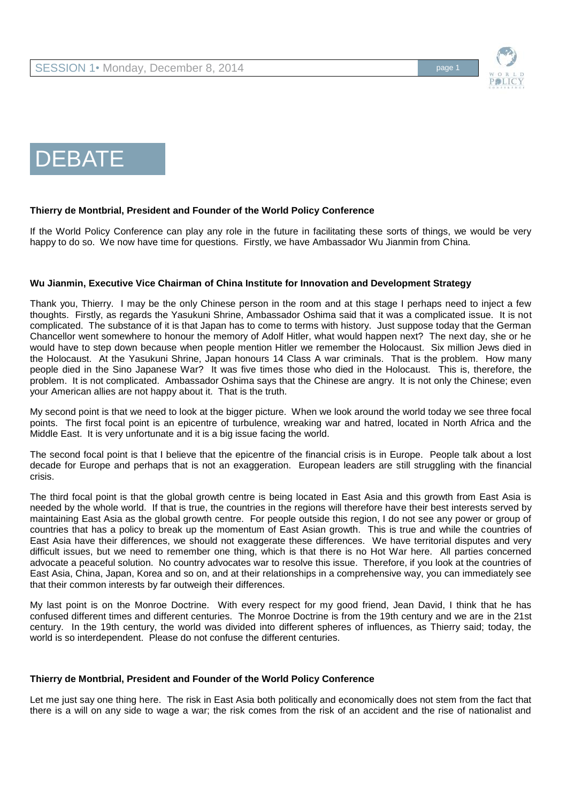



# DEBATE

## **Thierry de Montbrial, President and Founder of the World Policy Conference**

If the World Policy Conference can play any role in the future in facilitating these sorts of things, we would be very happy to do so. We now have time for questions. Firstly, we have Ambassador Wu Jianmin from China.

## **Wu Jianmin, Executive Vice Chairman of China Institute for Innovation and Development Strategy**

Thank you, Thierry. I may be the only Chinese person in the room and at this stage I perhaps need to inject a few thoughts. Firstly, as regards the Yasukuni Shrine, Ambassador Oshima said that it was a complicated issue. It is not complicated. The substance of it is that Japan has to come to terms with history. Just suppose today that the German Chancellor went somewhere to honour the memory of Adolf Hitler, what would happen next? The next day, she or he would have to step down because when people mention Hitler we remember the Holocaust. Six million Jews died in the Holocaust. At the Yasukuni Shrine, Japan honours 14 Class A war criminals. That is the problem. How many people died in the Sino Japanese War? It was five times those who died in the Holocaust. This is, therefore, the problem. It is not complicated. Ambassador Oshima says that the Chinese are angry. It is not only the Chinese; even your American allies are not happy about it. That is the truth.

My second point is that we need to look at the bigger picture. When we look around the world today we see three focal points. The first focal point is an epicentre of turbulence, wreaking war and hatred, located in North Africa and the Middle East. It is very unfortunate and it is a big issue facing the world.

The second focal point is that I believe that the epicentre of the financial crisis is in Europe. People talk about a lost decade for Europe and perhaps that is not an exaggeration. European leaders are still struggling with the financial crisis.

The third focal point is that the global growth centre is being located in East Asia and this growth from East Asia is needed by the whole world. If that is true, the countries in the regions will therefore have their best interests served by maintaining East Asia as the global growth centre. For people outside this region, I do not see any power or group of countries that has a policy to break up the momentum of East Asian growth. This is true and while the countries of East Asia have their differences, we should not exaggerate these differences. We have territorial disputes and very difficult issues, but we need to remember one thing, which is that there is no Hot War here. All parties concerned advocate a peaceful solution. No country advocates war to resolve this issue. Therefore, if you look at the countries of East Asia, China, Japan, Korea and so on, and at their relationships in a comprehensive way, you can immediately see that their common interests by far outweigh their differences.

My last point is on the Monroe Doctrine. With every respect for my good friend, Jean David, I think that he has confused different times and different centuries. The Monroe Doctrine is from the 19th century and we are in the 21st century. In the 19th century, the world was divided into different spheres of influences, as Thierry said; today, the world is so interdependent. Please do not confuse the different centuries.

#### **Thierry de Montbrial, President and Founder of the World Policy Conference**

Let me just say one thing here. The risk in East Asia both politically and economically does not stem from the fact that there is a will on any side to wage a war; the risk comes from the risk of an accident and the rise of nationalist and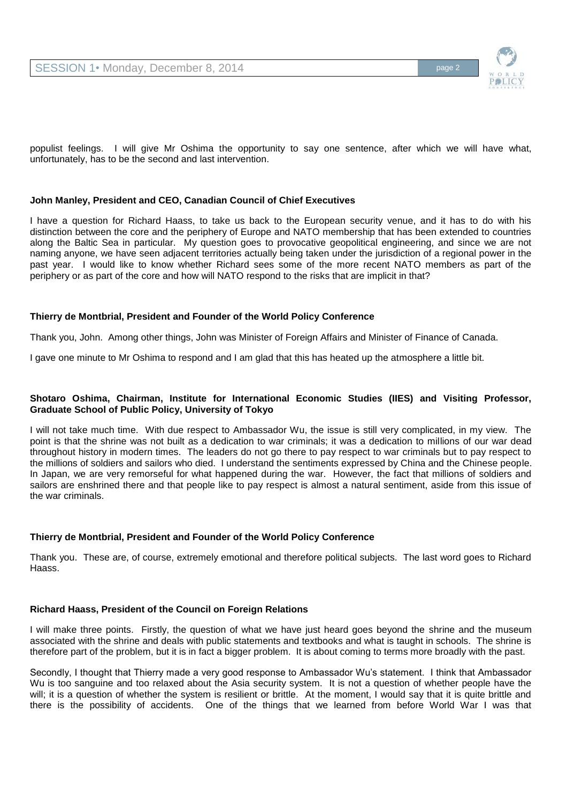

populist feelings. I will give Mr Oshima the opportunity to say one sentence, after which we will have what, unfortunately, has to be the second and last intervention.

## **John Manley, President and CEO, Canadian Council of Chief Executives**

I have a question for Richard Haass, to take us back to the European security venue, and it has to do with his distinction between the core and the periphery of Europe and NATO membership that has been extended to countries along the Baltic Sea in particular. My question goes to provocative geopolitical engineering, and since we are not naming anyone, we have seen adjacent territories actually being taken under the jurisdiction of a regional power in the past year. I would like to know whether Richard sees some of the more recent NATO members as part of the periphery or as part of the core and how will NATO respond to the risks that are implicit in that?

## **Thierry de Montbrial, President and Founder of the World Policy Conference**

Thank you, John. Among other things, John was Minister of Foreign Affairs and Minister of Finance of Canada.

I gave one minute to Mr Oshima to respond and I am glad that this has heated up the atmosphere a little bit.

### **Shotaro Oshima, Chairman, Institute for International Economic Studies (IIES) and Visiting Professor, Graduate School of Public Policy, University of Tokyo**

I will not take much time. With due respect to Ambassador Wu, the issue is still very complicated, in my view. The point is that the shrine was not built as a dedication to war criminals; it was a dedication to millions of our war dead throughout history in modern times. The leaders do not go there to pay respect to war criminals but to pay respect to the millions of soldiers and sailors who died. I understand the sentiments expressed by China and the Chinese people. In Japan, we are very remorseful for what happened during the war. However, the fact that millions of soldiers and sailors are enshrined there and that people like to pay respect is almost a natural sentiment, aside from this issue of the war criminals.

# **Thierry de Montbrial, President and Founder of the World Policy Conference**

Thank you. These are, of course, extremely emotional and therefore political subjects. The last word goes to Richard Haass.

#### **Richard Haass, President of the Council on Foreign Relations**

I will make three points. Firstly, the question of what we have just heard goes beyond the shrine and the museum associated with the shrine and deals with public statements and textbooks and what is taught in schools. The shrine is therefore part of the problem, but it is in fact a bigger problem. It is about coming to terms more broadly with the past.

Secondly, I thought that Thierry made a very good response to Ambassador Wu's statement. I think that Ambassador Wu is too sanguine and too relaxed about the Asia security system. It is not a question of whether people have the will; it is a question of whether the system is resilient or brittle. At the moment, I would say that it is quite brittle and there is the possibility of accidents. One of the things that we learned from before World War I was that